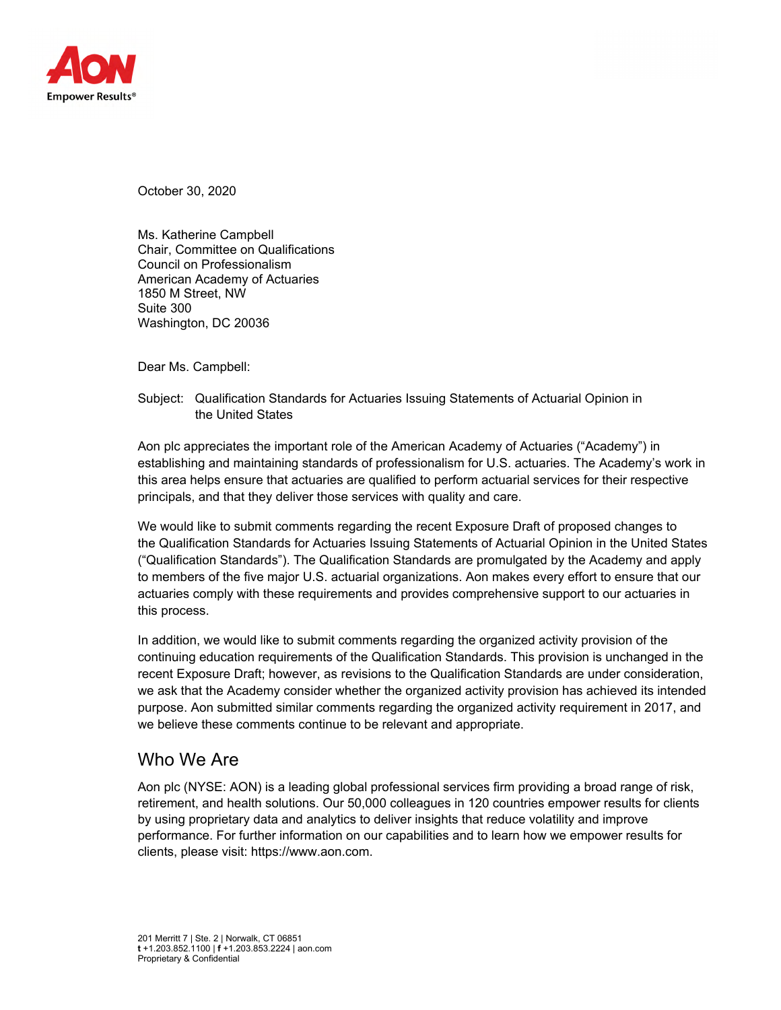

October 30, 2020

Ms. Katherine Campbell Chair, Committee on Qualifications Council on Professionalism American Academy of Actuaries 1850 M Street, NW Suite 300 Washington, DC 20036

Dear Ms. Campbell:

Subject: Qualification Standards for Actuaries Issuing Statements of Actuarial Opinion in the United States

Aon plc appreciates the important role of the American Academy of Actuaries ("Academy") in establishing and maintaining standards of professionalism for U.S. actuaries. The Academy's work in this area helps ensure that actuaries are qualified to perform actuarial services for their respective principals, and that they deliver those services with quality and care.

We would like to submit comments regarding the recent Exposure Draft of proposed changes to the Qualification Standards for Actuaries Issuing Statements of Actuarial Opinion in the United States ("Qualification Standards"). The Qualification Standards are promulgated by the Academy and apply to members of the five major U.S. actuarial organizations. Aon makes every effort to ensure that our actuaries comply with these requirements and provides comprehensive support to our actuaries in this process.

In addition, we would like to submit comments regarding the organized activity provision of the continuing education requirements of the Qualification Standards. This provision is unchanged in the recent Exposure Draft; however, as revisions to the Qualification Standards are under consideration, we ask that the Academy consider whether the organized activity provision has achieved its intended purpose. Aon submitted similar comments regarding the organized activity requirement in 2017, and we believe these comments continue to be relevant and appropriate.

## Who We Are

Aon plc (NYSE: AON) is a leading global professional services firm providing a broad range of risk, retirement, and health solutions. Our 50,000 colleagues in 120 countries empower results for clients by using proprietary data and analytics to deliver insights that reduce volatility and improve performance. For further information on our capabilities and to learn how we empower results for clients, please visit: https://www.aon.com.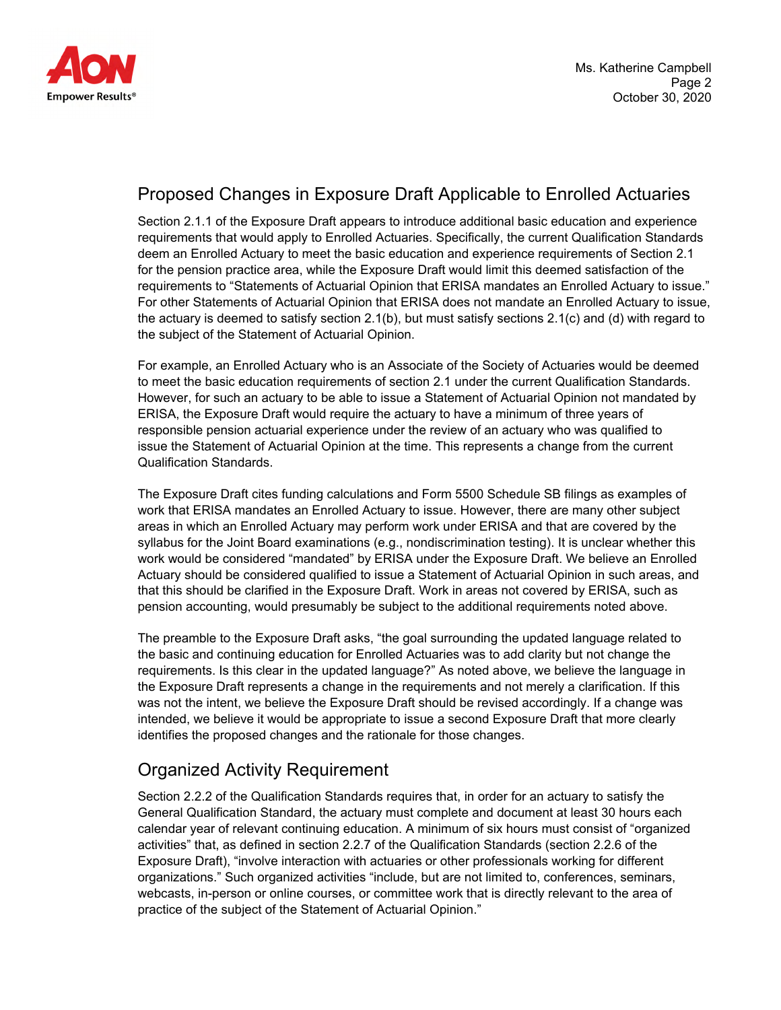

## Proposed Changes in Exposure Draft Applicable to Enrolled Actuaries

Section 2.1.1 of the Exposure Draft appears to introduce additional basic education and experience requirements that would apply to Enrolled Actuaries. Specifically, the current Qualification Standards deem an Enrolled Actuary to meet the basic education and experience requirements of Section 2.1 for the pension practice area, while the Exposure Draft would limit this deemed satisfaction of the requirements to "Statements of Actuarial Opinion that ERISA mandates an Enrolled Actuary to issue." For other Statements of Actuarial Opinion that ERISA does not mandate an Enrolled Actuary to issue, the actuary is deemed to satisfy section 2.1(b), but must satisfy sections 2.1(c) and (d) with regard to the subject of the Statement of Actuarial Opinion.

For example, an Enrolled Actuary who is an Associate of the Society of Actuaries would be deemed to meet the basic education requirements of section 2.1 under the current Qualification Standards. However, for such an actuary to be able to issue a Statement of Actuarial Opinion not mandated by ERISA, the Exposure Draft would require the actuary to have a minimum of three years of responsible pension actuarial experience under the review of an actuary who was qualified to issue the Statement of Actuarial Opinion at the time. This represents a change from the current Qualification Standards.

The Exposure Draft cites funding calculations and Form 5500 Schedule SB filings as examples of work that ERISA mandates an Enrolled Actuary to issue. However, there are many other subject areas in which an Enrolled Actuary may perform work under ERISA and that are covered by the syllabus for the Joint Board examinations (e.g., nondiscrimination testing). It is unclear whether this work would be considered "mandated" by ERISA under the Exposure Draft. We believe an Enrolled Actuary should be considered qualified to issue a Statement of Actuarial Opinion in such areas, and that this should be clarified in the Exposure Draft. Work in areas not covered by ERISA, such as pension accounting, would presumably be subject to the additional requirements noted above.

The preamble to the Exposure Draft asks, "the goal surrounding the updated language related to the basic and continuing education for Enrolled Actuaries was to add clarity but not change the requirements. Is this clear in the updated language?" As noted above, we believe the language in the Exposure Draft represents a change in the requirements and not merely a clarification. If this was not the intent, we believe the Exposure Draft should be revised accordingly. If a change was intended, we believe it would be appropriate to issue a second Exposure Draft that more clearly identifies the proposed changes and the rationale for those changes.

## Organized Activity Requirement

Section 2.2.2 of the Qualification Standards requires that, in order for an actuary to satisfy the General Qualification Standard, the actuary must complete and document at least 30 hours each calendar year of relevant continuing education. A minimum of six hours must consist of "organized activities" that, as defined in section 2.2.7 of the Qualification Standards (section 2.2.6 of the Exposure Draft), "involve interaction with actuaries or other professionals working for different organizations." Such organized activities "include, but are not limited to, conferences, seminars, webcasts, in-person or online courses, or committee work that is directly relevant to the area of practice of the subject of the Statement of Actuarial Opinion."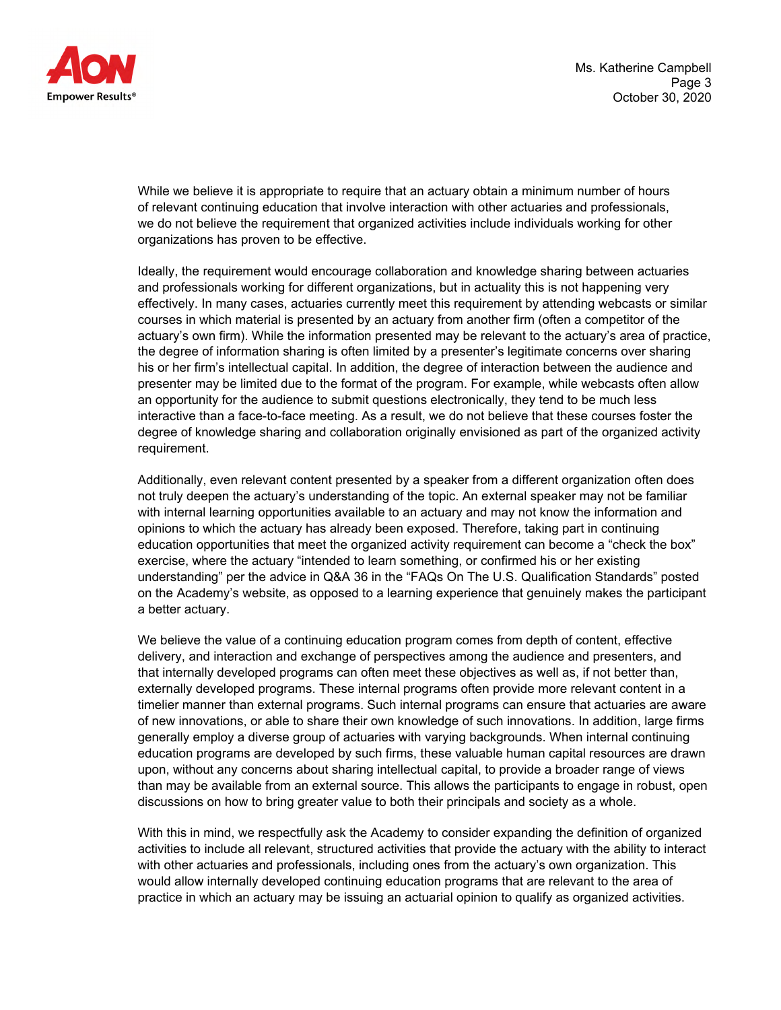

While we believe it is appropriate to require that an actuary obtain a minimum number of hours of relevant continuing education that involve interaction with other actuaries and professionals, we do not believe the requirement that organized activities include individuals working for other organizations has proven to be effective.

Ideally, the requirement would encourage collaboration and knowledge sharing between actuaries and professionals working for different organizations, but in actuality this is not happening very effectively. In many cases, actuaries currently meet this requirement by attending webcasts or similar courses in which material is presented by an actuary from another firm (often a competitor of the actuary's own firm). While the information presented may be relevant to the actuary's area of practice, the degree of information sharing is often limited by a presenter's legitimate concerns over sharing his or her firm's intellectual capital. In addition, the degree of interaction between the audience and presenter may be limited due to the format of the program. For example, while webcasts often allow an opportunity for the audience to submit questions electronically, they tend to be much less interactive than a face-to-face meeting. As a result, we do not believe that these courses foster the degree of knowledge sharing and collaboration originally envisioned as part of the organized activity requirement.

Additionally, even relevant content presented by a speaker from a different organization often does not truly deepen the actuary's understanding of the topic. An external speaker may not be familiar with internal learning opportunities available to an actuary and may not know the information and opinions to which the actuary has already been exposed. Therefore, taking part in continuing education opportunities that meet the organized activity requirement can become a "check the box" exercise, where the actuary "intended to learn something, or confirmed his or her existing understanding" per the advice in Q&A 36 in the "FAQs On The U.S. Qualification Standards" posted on the Academy's website, as opposed to a learning experience that genuinely makes the participant a better actuary.

We believe the value of a continuing education program comes from depth of content, effective delivery, and interaction and exchange of perspectives among the audience and presenters, and that internally developed programs can often meet these objectives as well as, if not better than, externally developed programs. These internal programs often provide more relevant content in a timelier manner than external programs. Such internal programs can ensure that actuaries are aware of new innovations, or able to share their own knowledge of such innovations. In addition, large firms generally employ a diverse group of actuaries with varying backgrounds. When internal continuing education programs are developed by such firms, these valuable human capital resources are drawn upon, without any concerns about sharing intellectual capital, to provide a broader range of views than may be available from an external source. This allows the participants to engage in robust, open discussions on how to bring greater value to both their principals and society as a whole.

With this in mind, we respectfully ask the Academy to consider expanding the definition of organized activities to include all relevant, structured activities that provide the actuary with the ability to interact with other actuaries and professionals, including ones from the actuary's own organization. This would allow internally developed continuing education programs that are relevant to the area of practice in which an actuary may be issuing an actuarial opinion to qualify as organized activities.